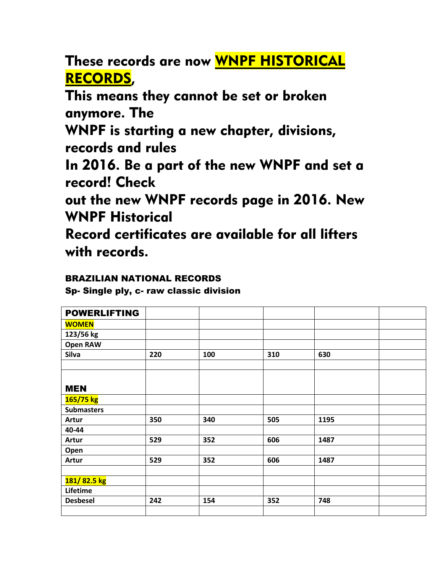These records are now WNPF HISTORICAL RECORDS,

This means they cannot be set or broken anymore. The

WNPF is starting a new chapter, divisions, records and rules

In 2016. Be a part of the new WNPF and set a record! Check

out the new WNPF records page in 2016. New WNPF Historical

Record certificates are available for all lifters with records.

## BRAZILIAN NATIONAL RECORDS

Sp- Single ply, c- raw classic division

| <b>POWERLIFTING</b> |     |     |     |      |  |
|---------------------|-----|-----|-----|------|--|
| <b>WOMEN</b>        |     |     |     |      |  |
| 123/56 kg           |     |     |     |      |  |
| <b>Open RAW</b>     |     |     |     |      |  |
| Silva               | 220 | 100 | 310 | 630  |  |
|                     |     |     |     |      |  |
|                     |     |     |     |      |  |
| <b>MEN</b>          |     |     |     |      |  |
| 165/75 kg           |     |     |     |      |  |
| <b>Submasters</b>   |     |     |     |      |  |
| Artur               | 350 | 340 | 505 | 1195 |  |
| 40-44               |     |     |     |      |  |
| Artur               | 529 | 352 | 606 | 1487 |  |
| Open                |     |     |     |      |  |
| Artur               | 529 | 352 | 606 | 1487 |  |
|                     |     |     |     |      |  |
| 181/82.5 kg         |     |     |     |      |  |
| Lifetime            |     |     |     |      |  |
| <b>Desbesel</b>     | 242 | 154 | 352 | 748  |  |
|                     |     |     |     |      |  |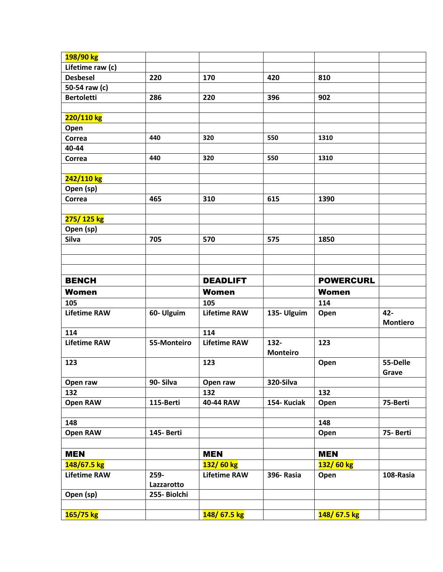| 198/90 kg           |              |                     |                 |                  |                 |
|---------------------|--------------|---------------------|-----------------|------------------|-----------------|
| Lifetime raw (c)    |              |                     |                 |                  |                 |
| <b>Desbesel</b>     | 220          | 170                 | 420             | 810              |                 |
| 50-54 raw (c)       |              |                     |                 |                  |                 |
| <b>Bertoletti</b>   | 286          | 220                 | 396             | 902              |                 |
|                     |              |                     |                 |                  |                 |
| 220/110 kg          |              |                     |                 |                  |                 |
| Open                |              |                     |                 |                  |                 |
| Correa              | 440          | 320                 | 550             | 1310             |                 |
| 40-44               |              |                     |                 |                  |                 |
| Correa              | 440          | 320                 | 550             | 1310             |                 |
|                     |              |                     |                 |                  |                 |
| 242/110 kg          |              |                     |                 |                  |                 |
| Open (sp)           |              |                     |                 |                  |                 |
| Correa              | 465          | 310                 | 615             | 1390             |                 |
|                     |              |                     |                 |                  |                 |
| 275/125 kg          |              |                     |                 |                  |                 |
| Open (sp)           |              |                     |                 |                  |                 |
| Silva               | 705          | 570                 | 575             | 1850             |                 |
|                     |              |                     |                 |                  |                 |
|                     |              |                     |                 |                  |                 |
|                     |              |                     |                 |                  |                 |
| <b>BENCH</b>        |              | <b>DEADLIFT</b>     |                 | <b>POWERCURL</b> |                 |
|                     |              |                     |                 |                  |                 |
| <b>Women</b>        |              | <b>Women</b>        |                 | <b>Women</b>     |                 |
| 105                 |              | 105                 |                 | 114              |                 |
| <b>Lifetime RAW</b> | 60- Ulguim   | <b>Lifetime RAW</b> | 135- Ulguim     | Open             | 42-             |
|                     |              |                     |                 |                  | <b>Montiero</b> |
| 114                 |              | 114                 |                 |                  |                 |
| <b>Lifetime RAW</b> | 55-Monteiro  | <b>Lifetime RAW</b> | 132-            | 123              |                 |
|                     |              |                     | <b>Monteiro</b> |                  |                 |
| 123                 |              | 123                 |                 | Open             | 55-Delle        |
|                     |              |                     |                 |                  | Grave           |
| Open raw            | 90-Silva     | Open raw            | 320-Silva       |                  |                 |
| 132                 |              | 132                 |                 | 132              |                 |
| <b>Open RAW</b>     | 115-Berti    | 40-44 RAW           | 154- Kuciak     | Open             | 75-Berti        |
|                     |              |                     |                 |                  |                 |
| 148                 |              |                     |                 | 148              |                 |
| Open RAW            | 145- Berti   |                     |                 | Open             | 75-Berti        |
| <b>MEN</b>          |              | <b>MEN</b>          |                 | <b>MEN</b>       |                 |
| 148/67.5 kg         |              | 132/60 kg           |                 | 132/60 kg        |                 |
| <b>Lifetime RAW</b> | 259-         | <b>Lifetime RAW</b> | 396-Rasia       |                  | 108-Rasia       |
|                     | Lazzarotto   |                     |                 | Open             |                 |
|                     | 255- Biolchi |                     |                 |                  |                 |
| Open (sp)           |              |                     |                 |                  |                 |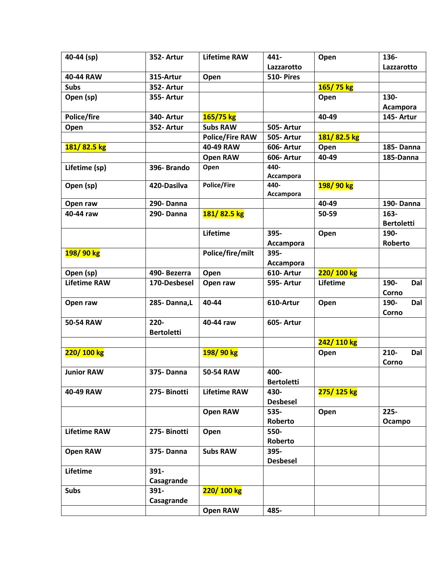| Lazzarotto        |
|-------------------|
|                   |
|                   |
|                   |
|                   |
| Acampora          |
| 145- Artur        |
|                   |
|                   |
| 185-Danna         |
| 185-Danna         |
|                   |
|                   |
|                   |
|                   |
| 190-Danna         |
|                   |
| <b>Bertoletti</b> |
|                   |
| <b>Roberto</b>    |
|                   |
|                   |
|                   |
| Dal               |
|                   |
| Dal               |
|                   |
|                   |
|                   |
|                   |
| Dal               |
|                   |
|                   |
|                   |
|                   |
|                   |
|                   |
| Ocampo            |
|                   |
|                   |
|                   |
|                   |
|                   |
|                   |
|                   |
|                   |
|                   |
|                   |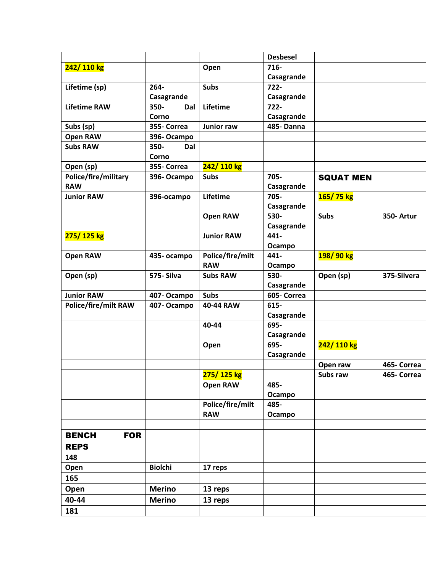|                             |                |                   | <b>Desbesel</b>  |                  |             |
|-----------------------------|----------------|-------------------|------------------|------------------|-------------|
| 242/110 kg                  |                | Open              | 716-             |                  |             |
|                             |                |                   | Casagrande       |                  |             |
| Lifetime (sp)               | $264 -$        | <b>Subs</b>       | $722 -$          |                  |             |
|                             | Casagrande     |                   | Casagrande       |                  |             |
| <b>Lifetime RAW</b>         | 350-<br>Dal    | Lifetime          | $722 -$          |                  |             |
|                             | Corno          |                   | Casagrande       |                  |             |
| Subs (sp)                   | 355- Correa    | <b>Junior raw</b> | <b>485-Danna</b> |                  |             |
| <b>Open RAW</b>             | 396-Ocampo     |                   |                  |                  |             |
| <b>Subs RAW</b>             | 350-<br>Dal    |                   |                  |                  |             |
|                             | Corno          |                   |                  |                  |             |
| Open (sp)                   | 355- Correa    | 242/110 kg        |                  |                  |             |
| Police/fire/military        | 396-Ocampo     | <b>Subs</b>       | 705-             | <b>SQUAT MEN</b> |             |
| <b>RAW</b>                  |                |                   | Casagrande       |                  |             |
| <b>Junior RAW</b>           | 396-ocampo     | Lifetime          | 705-             | 165/75 kg        |             |
|                             |                |                   | Casagrande       |                  |             |
|                             |                | <b>Open RAW</b>   | 530-             | <b>Subs</b>      | 350- Artur  |
|                             |                |                   | Casagrande       |                  |             |
| 275/125 kg                  |                | <b>Junior RAW</b> | 441-             |                  |             |
|                             |                |                   | Ocampo           |                  |             |
| <b>Open RAW</b>             | 435- ocampo    | Police/fire/milt  | 441-             | 198/90 kg        |             |
|                             |                | <b>RAW</b>        | Ocampo           |                  |             |
| Open (sp)                   | 575-Silva      | <b>Subs RAW</b>   | 530-             | Open (sp)        | 375-Silvera |
|                             |                |                   | Casagrande       |                  |             |
| <b>Junior RAW</b>           | 407-Ocampo     | <b>Subs</b>       | 605- Correa      |                  |             |
| <b>Police/fire/milt RAW</b> | 407-Ocampo     | 40-44 RAW         | 615-             |                  |             |
|                             |                |                   | Casagrande       |                  |             |
|                             |                | 40-44             | 695-             |                  |             |
|                             |                |                   | Casagrande       |                  |             |
|                             |                | Open              | 695-             | 242/110 kg       |             |
|                             |                |                   | Casagrande       |                  |             |
|                             |                |                   |                  | Open raw         | 465- Correa |
|                             |                | 275/125 kg        |                  | Subs raw         | 465- Correa |
|                             |                | Open RAW          | 485-             |                  |             |
|                             |                |                   | Ocampo           |                  |             |
|                             |                | Police/fire/milt  | 485-             |                  |             |
|                             |                | <b>RAW</b>        | Ocampo           |                  |             |
|                             |                |                   |                  |                  |             |
| <b>FOR</b><br><b>BENCH</b>  |                |                   |                  |                  |             |
| <b>REPS</b>                 |                |                   |                  |                  |             |
| 148                         |                |                   |                  |                  |             |
| Open                        | <b>Biolchi</b> | 17 reps           |                  |                  |             |
|                             |                |                   |                  |                  |             |
| 165                         |                |                   |                  |                  |             |
| Open                        | <b>Merino</b>  | 13 reps           |                  |                  |             |
| 40-44                       | <b>Merino</b>  | 13 reps           |                  |                  |             |
| 181                         |                |                   |                  |                  |             |